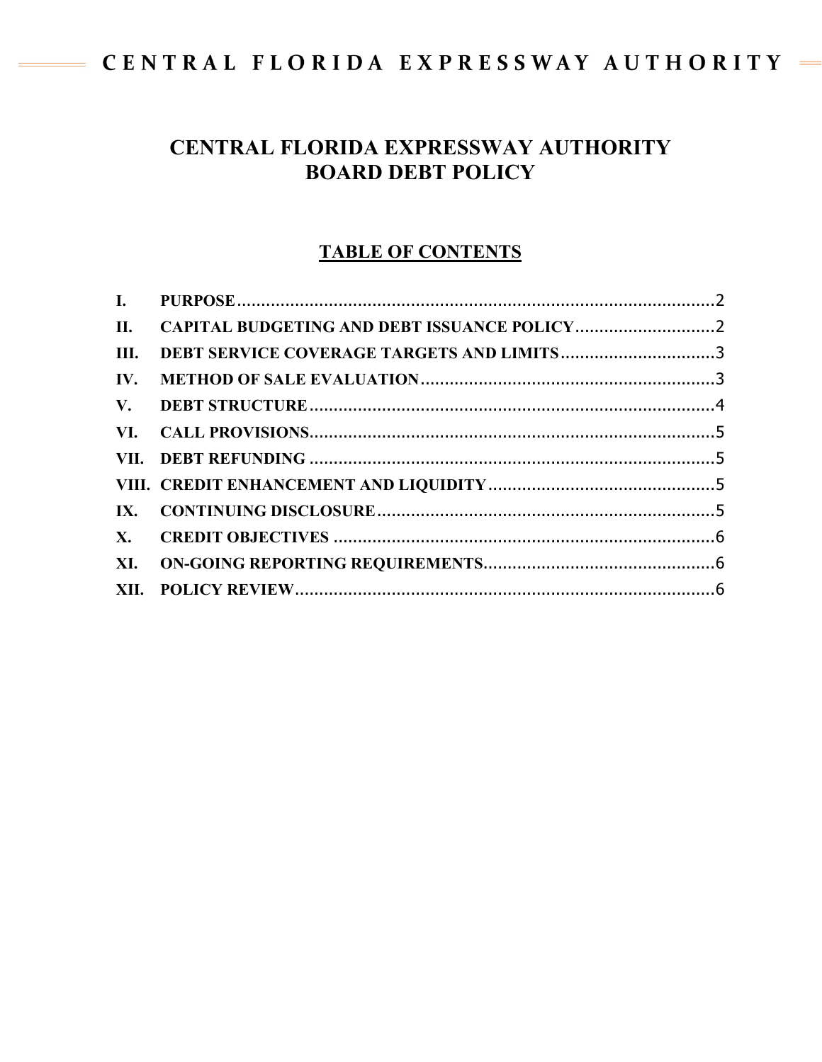# CENTRAL FLORIDA EXPRESSWAY AUTHORITY

## **CENTRAL FLORIDA EXPRESSWAY AUTHORITY BOARD DEBT POLICY**

### **TABLE OF CONTENTS**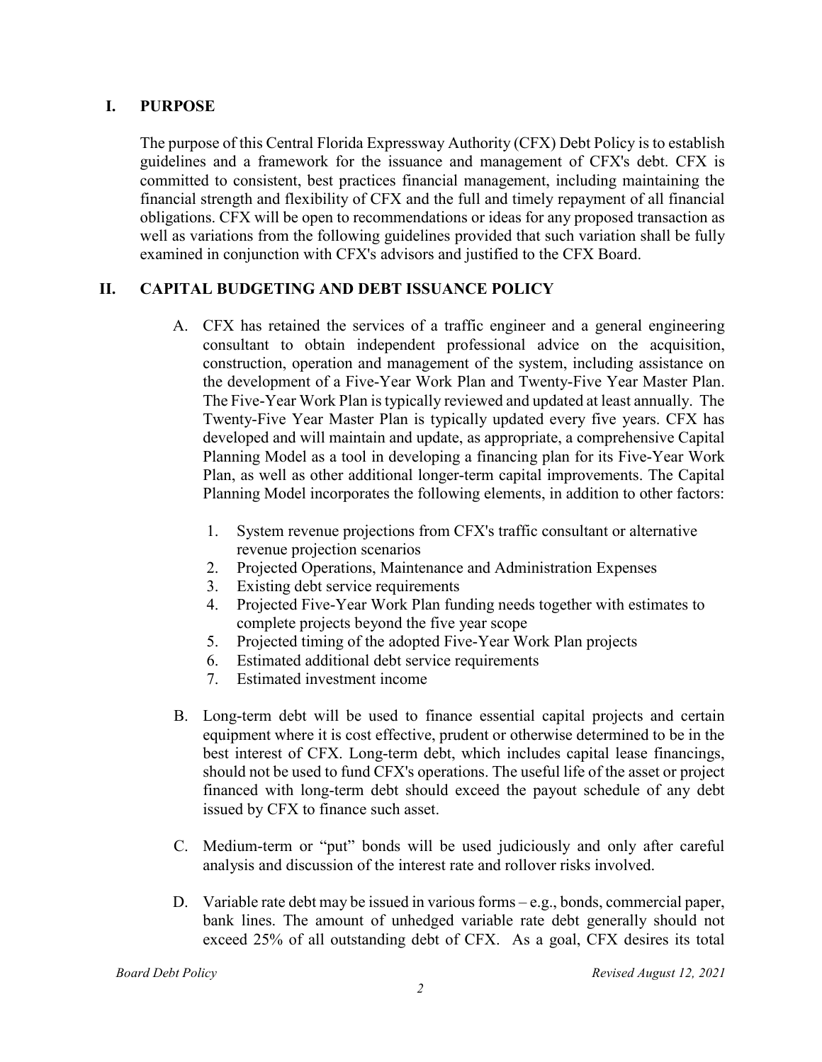#### <span id="page-1-0"></span>**I. PURPOSE**

The purpose of this Central Florida Expressway Authority (CFX) Debt Policy is to establish guidelines and a framework for the issuance and management of CFX's debt. CFX is committed to consistent, best practices financial management, including maintaining the financial strength and flexibility of CFX and the full and timely repayment of all financial obligations. CFX will be open to recommendations or ideas for any proposed transaction as well as variations from the following guidelines provided that such variation shall be fully examined in conjunction with CFX's advisors and justified to the CFX Board.

#### <span id="page-1-1"></span>**II. CAPITAL BUDGETING AND DEBT ISSUANCE POLICY**

- A. CFX has retained the services of a traffic engineer and a general engineering consultant to obtain independent professional advice on the acquisition, construction, operation and management of the system, including assistance on the development of a Five-Year Work Plan and Twenty-Five Year Master Plan. The Five-Year Work Plan is typically reviewed and updated at least annually. The Twenty-Five Year Master Plan is typically updated every five years. CFX has developed and will maintain and update, as appropriate, a comprehensive Capital Planning Model as a tool in developing a financing plan for its Five-Year Work Plan, as well as other additional longer-term capital improvements. The Capital Planning Model incorporates the following elements, in addition to other factors:
	- 1. System revenue projections from CFX's traffic consultant or alternative revenue projection scenarios
	- 2. Projected Operations, Maintenance and Administration Expenses
	- 3. Existing debt service requirements
	- 4. Projected Five-Year Work Plan funding needs together with estimates to complete projects beyond the five year scope
	- 5. Projected timing of the adopted Five-Year Work Plan projects
	- 6. Estimated additional debt service requirements
	- 7. Estimated investment income
- B. Long-term debt will be used to finance essential capital projects and certain equipment where it is cost effective, prudent or otherwise determined to be in the best interest of CFX. Long-term debt, which includes capital lease financings, should not be used to fund CFX's operations. The useful life of the asset or project financed with long-term debt should exceed the payout schedule of any debt issued by CFX to finance such asset.
- C. Medium-term or "put" bonds will be used judiciously and only after careful analysis and discussion of the interest rate and rollover risks involved.
- D. Variable rate debt may be issued in various forms e.g., bonds, commercial paper, bank lines. The amount of unhedged variable rate debt generally should not exceed 25% of all outstanding debt of CFX. As a goal, CFX desires its total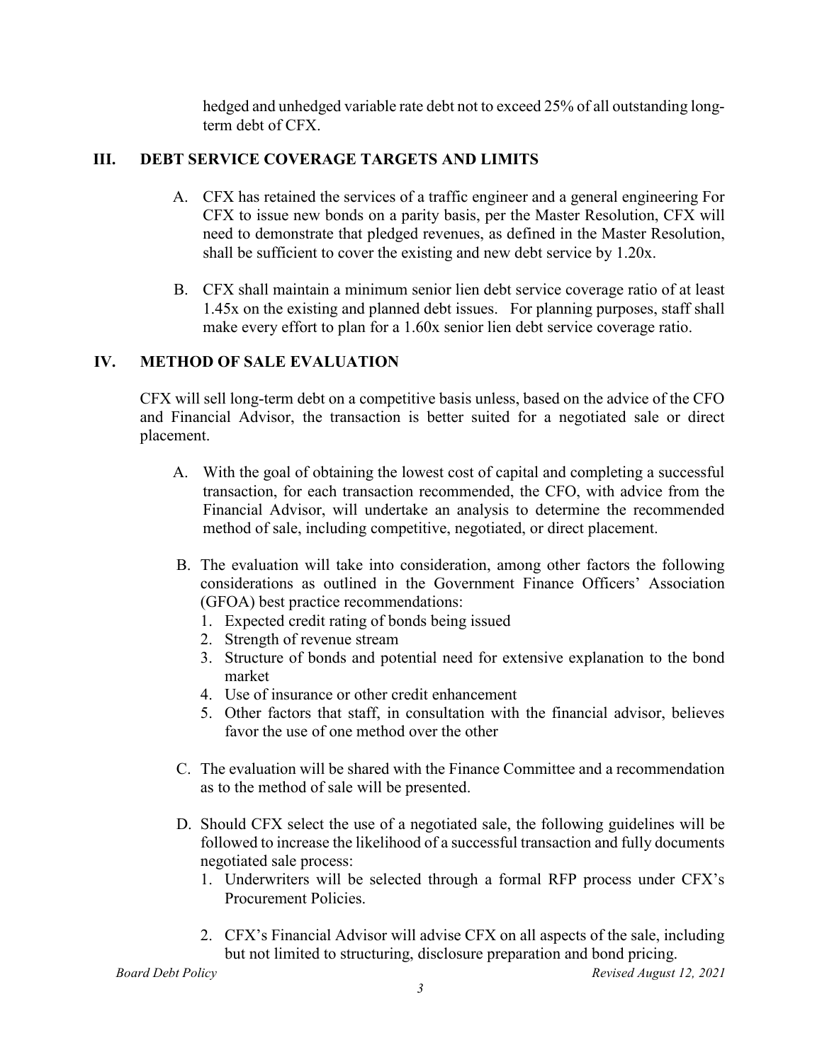hedged and unhedged variable rate debt not to exceed 25% of all outstanding longterm debt of CFX.

#### <span id="page-2-0"></span>**III. DEBT SERVICE COVERAGE TARGETS AND LIMITS**

- A. CFX has retained the services of a traffic engineer and a general engineering For CFX to issue new bonds on a parity basis, per the Master Resolution, CFX will need to demonstrate that pledged revenues, as defined in the Master Resolution, shall be sufficient to cover the existing and new debt service by 1.20x.
- B. CFX shall maintain a minimum senior lien debt service coverage ratio of at least 1.45x on the existing and planned debt issues. For planning purposes, staff shall make every effort to plan for a 1.60x senior lien debt service coverage ratio.

#### <span id="page-2-1"></span>**IV. METHOD OF SALE EVALUATION**

CFX will sell long-term debt on a competitive basis unless, based on the advice of the CFO and Financial Advisor, the transaction is better suited for a negotiated sale or direct placement.

- A. With the goal of obtaining the lowest cost of capital and completing a successful transaction, for each transaction recommended, the CFO, with advice from the Financial Advisor, will undertake an analysis to determine the recommended method of sale, including competitive, negotiated, or direct placement.
- B. The evaluation will take into consideration, among other factors the following considerations as outlined in the Government Finance Officers' Association (GFOA) best practice recommendations:
	- 1. Expected credit rating of bonds being issued
	- 2. Strength of revenue stream
	- 3. Structure of bonds and potential need for extensive explanation to the bond market
	- 4. Use of insurance or other credit enhancement
	- 5. Other factors that staff, in consultation with the financial advisor, believes favor the use of one method over the other
- C. The evaluation will be shared with the Finance Committee and a recommendation as to the method of sale will be presented.
- D. Should CFX select the use of a negotiated sale, the following guidelines will be followed to increase the likelihood of a successful transaction and fully documents negotiated sale process:
	- 1. Underwriters will be selected through a formal RFP process under CFX's Procurement Policies.
	- 2. CFX's Financial Advisor will advise CFX on all aspects of the sale, including but not limited to structuring, disclosure preparation and bond pricing.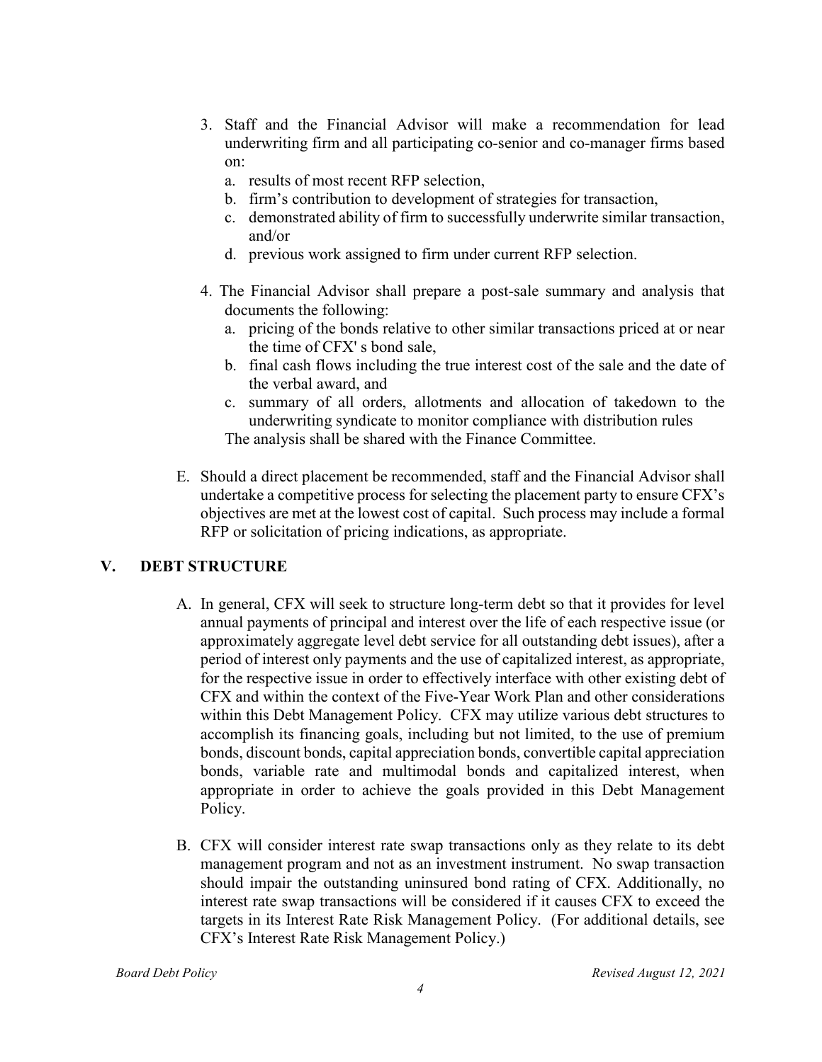- 3. Staff and the Financial Advisor will make a recommendation for lead underwriting firm and all participating co-senior and co-manager firms based on:
	- a. results of most recent RFP selection,
	- b. firm's contribution to development of strategies for transaction,
	- c. demonstrated ability of firm to successfully underwrite similar transaction, and/or
	- d. previous work assigned to firm under current RFP selection.
- 4. The Financial Advisor shall prepare a post-sale summary and analysis that documents the following:
	- a. pricing of the bonds relative to other similar transactions priced at or near the time of CFX' s bond sale,
	- b. final cash flows including the true interest cost of the sale and the date of the verbal award, and
	- c. summary of all orders, allotments and allocation of takedown to the underwriting syndicate to monitor compliance with distribution rules The analysis shall be shared with the Finance Committee.
- E. Should a direct placement be recommended, staff and the Financial Advisor shall undertake a competitive process for selecting the placement party to ensure CFX's objectives are met at the lowest cost of capital. Such process may include a formal RFP or solicitation of pricing indications, as appropriate.

#### <span id="page-3-0"></span>**V. DEBT STRUCTURE**

- A. In general, CFX will seek to structure long-term debt so that it provides for level annual payments of principal and interest over the life of each respective issue (or approximately aggregate level debt service for all outstanding debt issues), after a period of interest only payments and the use of capitalized interest, as appropriate, for the respective issue in order to effectively interface with other existing debt of CFX and within the context of the Five-Year Work Plan and other considerations within this Debt Management Policy. CFX may utilize various debt structures to accomplish its financing goals, including but not limited, to the use of premium bonds, discount bonds, capital appreciation bonds, convertible capital appreciation bonds, variable rate and multimodal bonds and capitalized interest, when appropriate in order to achieve the goals provided in this Debt Management Policy.
- B. CFX will consider interest rate swap transactions only as they relate to its debt management program and not as an investment instrument. No swap transaction should impair the outstanding uninsured bond rating of CFX. Additionally, no interest rate swap transactions will be considered if it causes CFX to exceed the targets in its Interest Rate Risk Management Policy. (For additional details, see CFX's Interest Rate Risk Management Policy.)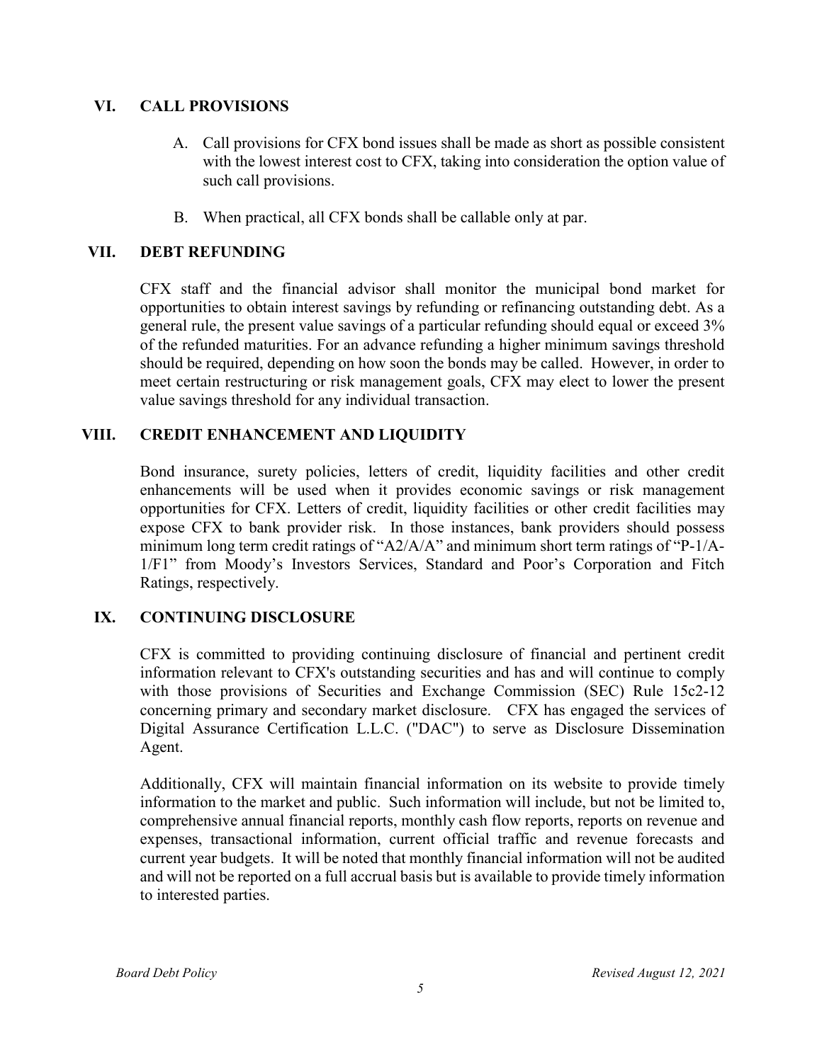#### <span id="page-4-0"></span>**VI. CALL PROVISIONS**

- A. Call provisions for CFX bond issues shall be made as short as possible consistent with the lowest interest cost to CFX, taking into consideration the option value of such call provisions.
- B. When practical, all CFX bonds shall be callable only at par.

#### <span id="page-4-1"></span>**VII. DEBT REFUNDING**

CFX staff and the financial advisor shall monitor the municipal bond market for opportunities to obtain interest savings by refunding or refinancing outstanding debt. As a general rule, the present value savings of a particular refunding should equal or exceed 3% of the refunded maturities. For an advance refunding a higher minimum savings threshold should be required, depending on how soon the bonds may be called. However, in order to meet certain restructuring or risk management goals, CFX may elect to lower the present value savings threshold for any individual transaction.

#### <span id="page-4-2"></span>**VIII. CREDIT ENHANCEMENT AND LIQUIDITY**

Bond insurance, surety policies, letters of credit, liquidity facilities and other credit enhancements will be used when it provides economic savings or risk management opportunities for CFX. Letters of credit, liquidity facilities or other credit facilities may expose CFX to bank provider risk. In those instances, bank providers should possess minimum long term credit ratings of "A2/A/A" and minimum short term ratings of "P-1/A-1/F1" from Moody's Investors Services, Standard and Poor's Corporation and Fitch Ratings, respectively.

#### <span id="page-4-3"></span>**IX. CONTINUING DISCLOSURE**

CFX is committed to providing continuing disclosure of financial and pertinent credit information relevant to CFX's outstanding securities and has and will continue to comply with those provisions of Securities and Exchange Commission (SEC) Rule 15c2-12 concerning primary and secondary market disclosure. CFX has engaged the services of Digital Assurance Certification L.L.C. ("DAC") to serve as Disclosure Dissemination Agent.

Additionally, CFX will maintain financial information on its website to provide timely information to the market and public. Such information will include, but not be limited to, comprehensive annual financial reports, monthly cash flow reports, reports on revenue and expenses, transactional information, current official traffic and revenue forecasts and current year budgets. It will be noted that monthly financial information will not be audited and will not be reported on a full accrual basis but is available to provide timely information to interested parties.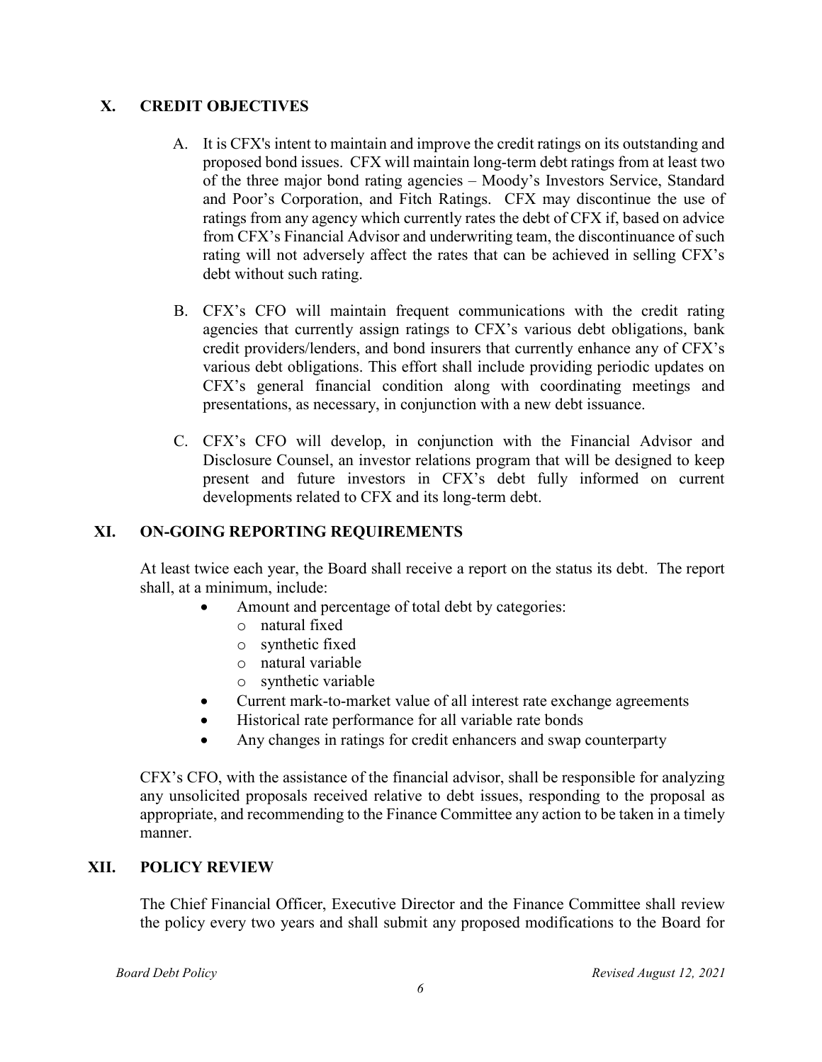#### <span id="page-5-0"></span>**X. CREDIT OBJECTIVES**

- A. It is CFX's intent to maintain and improve the credit ratings on its outstanding and proposed bond issues. CFX will maintain long-term debt ratings from at least two of the three major bond rating agencies – Moody's Investors Service, Standard and Poor's Corporation, and Fitch Ratings. CFX may discontinue the use of ratings from any agency which currently rates the debt of CFX if, based on advice from CFX's Financial Advisor and underwriting team, the discontinuance of such rating will not adversely affect the rates that can be achieved in selling CFX's debt without such rating.
- B. CFX's CFO will maintain frequent communications with the credit rating agencies that currently assign ratings to CFX's various debt obligations, bank credit providers/lenders, and bond insurers that currently enhance any of CFX's various debt obligations. This effort shall include providing periodic updates on CFX's general financial condition along with coordinating meetings and presentations, as necessary, in conjunction with a new debt issuance.
- C. CFX's CFO will develop, in conjunction with the Financial Advisor and Disclosure Counsel, an investor relations program that will be designed to keep present and future investors in CFX's debt fully informed on current developments related to CFX and its long-term debt.

#### <span id="page-5-1"></span>**XI. ON-GOING REPORTING REQUIREMENTS**

At least twice each year, the Board shall receive a report on the status its debt. The report shall, at a minimum, include:

- Amount and percentage of total debt by categories:
	- o natural fixed
	- o synthetic fixed
	- o natural variable
	- o synthetic variable
- Current mark-to-market value of all interest rate exchange agreements
- Historical rate performance for all variable rate bonds
- Any changes in ratings for credit enhancers and swap counterparty

CFX's CFO, with the assistance of the financial advisor, shall be responsible for analyzing any unsolicited proposals received relative to debt issues, responding to the proposal as appropriate, and recommending to the Finance Committee any action to be taken in a timely manner.

#### <span id="page-5-2"></span>**XII. POLICY REVIEW**

The Chief Financial Officer, Executive Director and the Finance Committee shall review the policy every two years and shall submit any proposed modifications to the Board for